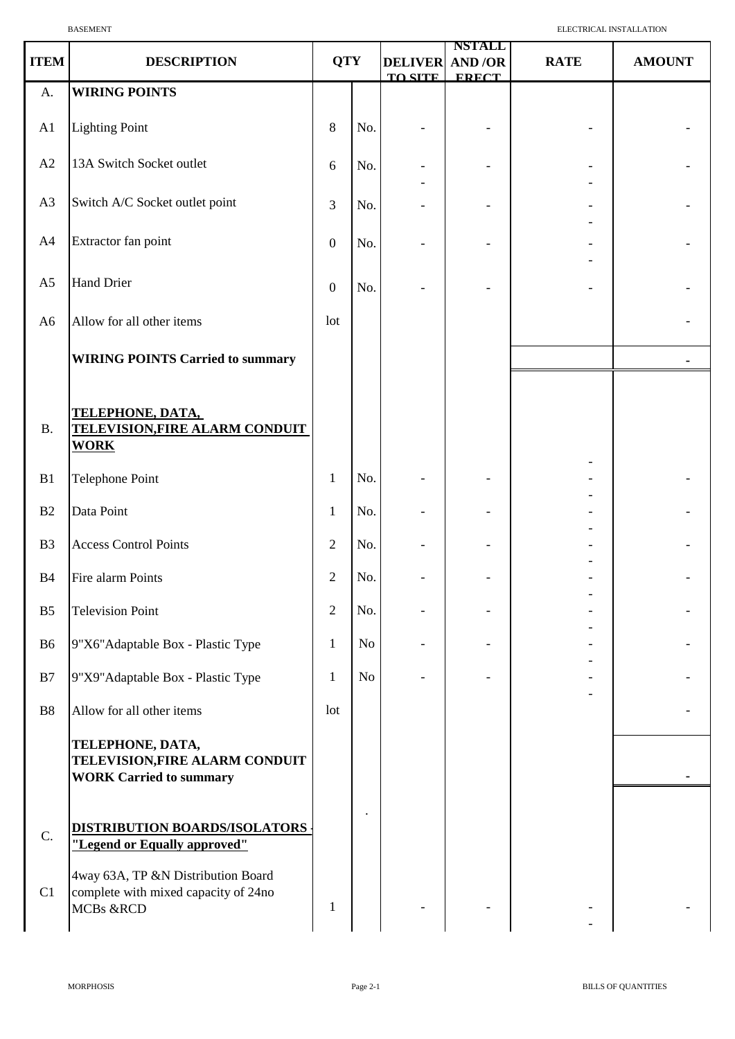| <b>ITEM</b>    | <b>DESCRIPTION</b>                                                                      | <b>QTY</b>       |     | <b>DELIVER</b> | <b>NSTALL</b><br>AND/OR | <b>RATE</b> | <b>AMOUNT</b> |
|----------------|-----------------------------------------------------------------------------------------|------------------|-----|----------------|-------------------------|-------------|---------------|
| A.             | <b>WIRING POINTS</b>                                                                    |                  |     | <b>TO SITE</b> | <b>FRECT</b>            |             |               |
| A1             | <b>Lighting Point</b>                                                                   | 8                | No. |                |                         |             |               |
| A2             | 13A Switch Socket outlet                                                                | 6                | No. |                |                         |             |               |
| A3             | Switch A/C Socket outlet point                                                          | $\overline{3}$   | No. |                |                         |             |               |
| A4             | Extractor fan point                                                                     | $\boldsymbol{0}$ | No. |                |                         |             |               |
| A <sub>5</sub> | <b>Hand Drier</b>                                                                       | $\boldsymbol{0}$ | No. |                |                         |             |               |
| A <sub>6</sub> | Allow for all other items                                                               | lot              |     |                |                         |             |               |
|                | <b>WIRING POINTS Carried to summary</b>                                                 |                  |     |                |                         |             |               |
| <b>B.</b>      | <u>TELEPHONE, DATA,</u><br><b>TELEVISION, FIRE ALARM CONDUIT</b><br><b>WORK</b>         |                  |     |                |                         |             |               |
| B1             | <b>Telephone Point</b>                                                                  | $\mathbf{1}$     | No. |                |                         |             |               |
| B2             | Data Point                                                                              | $\mathbf{1}$     | No. |                |                         |             |               |
| B <sub>3</sub> | <b>Access Control Points</b>                                                            | $\overline{2}$   | No. |                |                         |             |               |
| <b>B4</b>      | Fire alarm Points                                                                       | $\sqrt{2}$       | No. |                |                         |             |               |
| B <sub>5</sub> | <b>Television Point</b>                                                                 | $\overline{2}$   | No. |                |                         |             |               |
| B <sub>6</sub> | 9"X6"Adaptable Box - Plastic Type                                                       | $\mathbf{1}$     | No  |                |                         |             |               |
| B7             | 9"X9"Adaptable Box - Plastic Type                                                       | 1                | No  |                |                         |             |               |
| <b>B8</b>      | Allow for all other items                                                               | lot              |     |                |                         |             |               |
|                | TELEPHONE, DATA,<br>TELEVISION, FIRE ALARM CONDUIT<br><b>WORK Carried to summary</b>    |                  |     |                |                         |             |               |
| C.             | DISTRIBUTION BOARDS/ISOLATORS<br>"Legend or Equally approved"                           |                  |     |                |                         |             |               |
| C1             | 4way 63A, TP &N Distribution Board<br>complete with mixed capacity of 24no<br>MCBs &RCD | 1                |     |                |                         |             |               |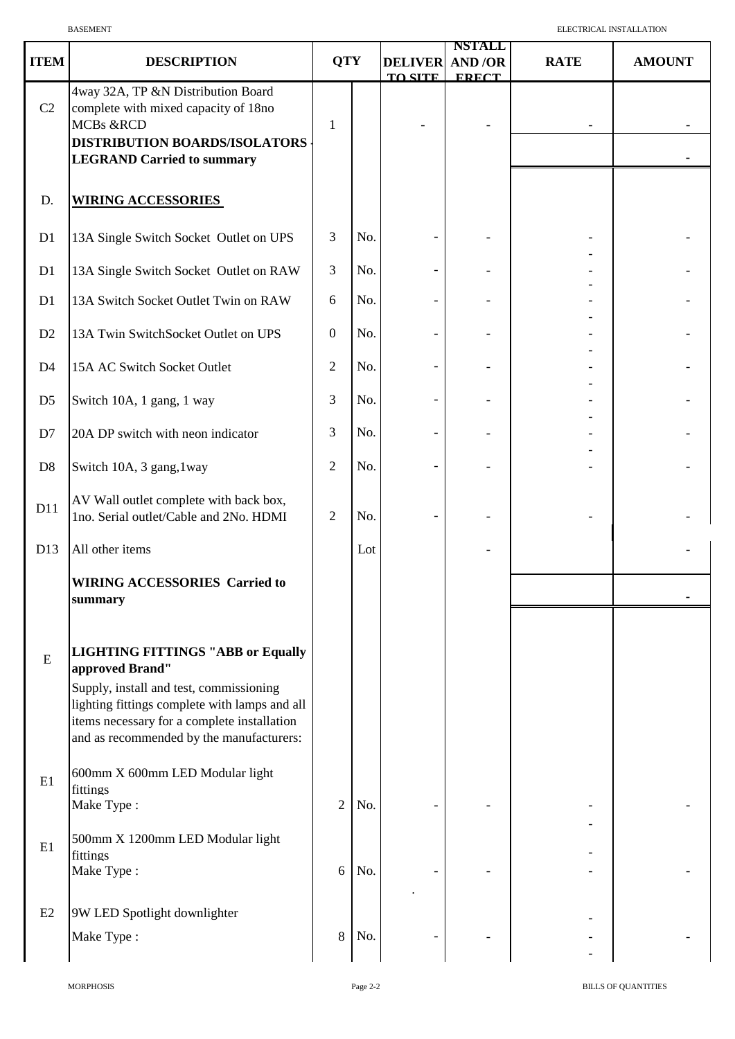| <b>ITEM</b>    | <b>DESCRIPTION</b>                                                                                                                                                                                                                                 | <b>QTY</b>       |     | <b>DELIVER</b><br><b>TO SITE</b> | <b>NSTALL</b><br><b>AND/OR</b><br><b>FRECT</b> | <b>RATE</b> | <b>AMOUNT</b> |
|----------------|----------------------------------------------------------------------------------------------------------------------------------------------------------------------------------------------------------------------------------------------------|------------------|-----|----------------------------------|------------------------------------------------|-------------|---------------|
| C2             | 4way 32A, TP &N Distribution Board<br>complete with mixed capacity of 18no<br>MCBs &RCD<br>DISTRIBUTION BOARDS/ISOLATORS<br><b>LEGRAND Carried to summary</b>                                                                                      | $\mathbf{1}$     |     |                                  |                                                |             |               |
| D.             | <b>WIRING ACCESSORIES</b>                                                                                                                                                                                                                          |                  |     |                                  |                                                |             |               |
| D1             | 13A Single Switch Socket Outlet on UPS                                                                                                                                                                                                             | $\mathfrak{Z}$   | No. |                                  |                                                |             |               |
| D1             | 13A Single Switch Socket Outlet on RAW                                                                                                                                                                                                             | $\mathfrak{Z}$   | No. |                                  |                                                |             |               |
| D1             | 13A Switch Socket Outlet Twin on RAW                                                                                                                                                                                                               | 6                | No. |                                  |                                                |             |               |
| D <sub>2</sub> | 13A Twin SwitchSocket Outlet on UPS                                                                                                                                                                                                                | $\boldsymbol{0}$ | No. |                                  |                                                |             |               |
| D <sub>4</sub> | 15A AC Switch Socket Outlet                                                                                                                                                                                                                        | $\sqrt{2}$       | No. |                                  |                                                |             |               |
| D <sub>5</sub> | Switch 10A, 1 gang, 1 way                                                                                                                                                                                                                          | 3                | No. |                                  |                                                |             |               |
| D7             | 20A DP switch with neon indicator                                                                                                                                                                                                                  | $\mathfrak{Z}$   | No. |                                  |                                                |             |               |
| D <sub>8</sub> | Switch 10A, 3 gang, 1way                                                                                                                                                                                                                           | $\sqrt{2}$       | No. |                                  |                                                |             |               |
| D11            | AV Wall outlet complete with back box,<br>1no. Serial outlet/Cable and 2No. HDMI                                                                                                                                                                   | $\sqrt{2}$       | No. |                                  |                                                |             |               |
| D13            | All other items                                                                                                                                                                                                                                    |                  | Lot |                                  |                                                |             |               |
|                | <b>WIRING ACCESSORIES Carried to</b><br>summary                                                                                                                                                                                                    |                  |     |                                  |                                                |             |               |
| ${\bf E}$      | <b>LIGHTING FITTINGS "ABB or Equally</b><br>approved Brand"<br>Supply, install and test, commissioning<br>lighting fittings complete with lamps and all<br>items necessary for a complete installation<br>and as recommended by the manufacturers: |                  |     |                                  |                                                |             |               |
| E1             | 600mm X 600mm LED Modular light<br>fittings<br>Make Type:                                                                                                                                                                                          | $\overline{2}$   | No. |                                  |                                                |             |               |
| E1             | 500mm X 1200mm LED Modular light<br>fittings<br>Make Type:                                                                                                                                                                                         | 6                | No. |                                  |                                                |             |               |
| E2             | 9W LED Spotlight downlighter<br>Make Type:                                                                                                                                                                                                         | $8\,$            | No. |                                  |                                                |             |               |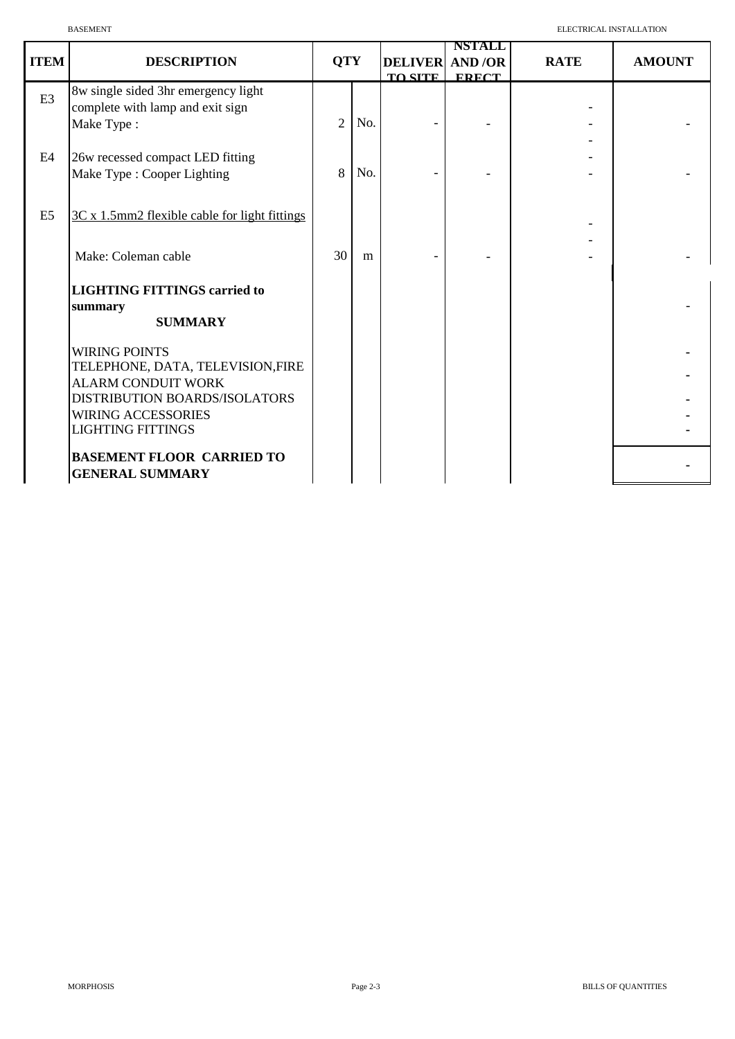|                | <b>BASEMENT</b>                                                                                                                                                                 |                |     |                |                                                         | ELECTRICAL INSTALLATION |               |
|----------------|---------------------------------------------------------------------------------------------------------------------------------------------------------------------------------|----------------|-----|----------------|---------------------------------------------------------|-------------------------|---------------|
| <b>ITEM</b>    | <b>DESCRIPTION</b>                                                                                                                                                              | <b>QTY</b>     |     | <b>TO SITE</b> | <b>NSTALL</b><br><b>DELIVER AND /OR</b><br><b>FRECT</b> | <b>RATE</b>             | <b>AMOUNT</b> |
| E <sub>3</sub> | 8w single sided 3hr emergency light<br>complete with lamp and exit sign<br>Make Type:                                                                                           | $\overline{2}$ | No. |                |                                                         |                         |               |
| E4             | 26w recessed compact LED fitting<br>Make Type : Cooper Lighting                                                                                                                 | 8              | No. |                |                                                         |                         |               |
| E <sub>5</sub> | 3C x 1.5mm2 flexible cable for light fittings                                                                                                                                   |                |     |                |                                                         |                         |               |
|                | Make: Coleman cable                                                                                                                                                             | 30             | m   |                |                                                         |                         |               |
|                | <b>LIGHTING FITTINGS carried to</b><br>summary<br><b>SUMMARY</b>                                                                                                                |                |     |                |                                                         |                         |               |
|                | <b>WIRING POINTS</b><br>TELEPHONE, DATA, TELEVISION,FIRE<br><b>ALARM CONDUIT WORK</b><br>DISTRIBUTION BOARDS/ISOLATORS<br><b>WIRING ACCESSORIES</b><br><b>LIGHTING FITTINGS</b> |                |     |                |                                                         |                         |               |
|                | <b>BASEMENT FLOOR CARRIED TO</b><br><b>GENERAL SUMMARY</b>                                                                                                                      |                |     |                |                                                         |                         |               |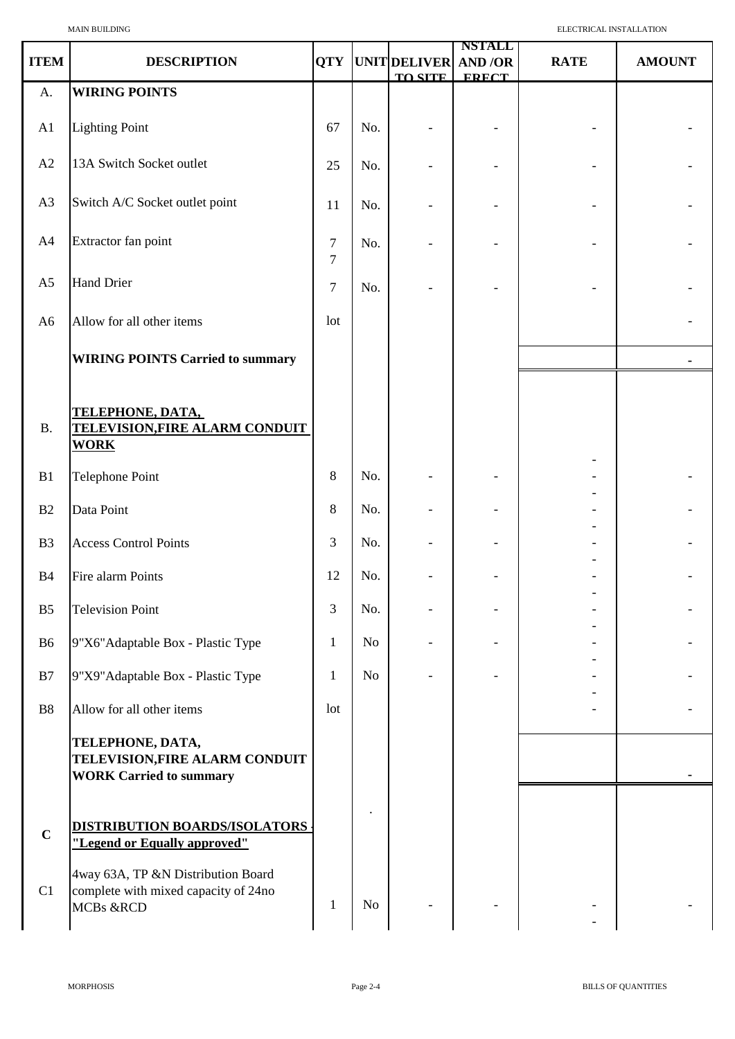|                |                                                                                                    |                |                |                                        | <b>NSTALL</b> |             |               |
|----------------|----------------------------------------------------------------------------------------------------|----------------|----------------|----------------------------------------|---------------|-------------|---------------|
| <b>ITEM</b>    | <b>DESCRIPTION</b>                                                                                 | <b>QTY</b>     |                | UNIT DELIVER AND /OR<br><b>TO SITE</b> | <b>FRECT</b>  | <b>RATE</b> | <b>AMOUNT</b> |
| A.             | <b>WIRING POINTS</b>                                                                               |                |                |                                        |               |             |               |
| A1             | <b>Lighting Point</b>                                                                              | 67             | No.            |                                        |               |             |               |
| A2             | 13A Switch Socket outlet                                                                           | 25             | No.            |                                        |               |             |               |
| A3             | Switch A/C Socket outlet point                                                                     | 11             | No.            |                                        |               |             |               |
| A4             | Extractor fan point                                                                                | 7<br>$\tau$    | No.            |                                        |               |             |               |
| A <sub>5</sub> | <b>Hand Drier</b>                                                                                  | $\overline{7}$ | No.            |                                        |               |             |               |
| A <sub>6</sub> | Allow for all other items                                                                          | lot            |                |                                        |               |             |               |
|                | <b>WIRING POINTS Carried to summary</b>                                                            |                |                |                                        |               |             |               |
| <b>B.</b>      | <b>TELEPHONE, DATA,</b><br>TELEVISION, FIRE ALARM CONDUIT<br><b>WORK</b>                           |                |                |                                        |               |             |               |
| B1             | Telephone Point                                                                                    | $\,8\,$        | No.            |                                        |               |             |               |
| B2             | Data Point                                                                                         | $\,8\,$        | No.            |                                        |               |             |               |
| B <sub>3</sub> | <b>Access Control Points</b>                                                                       | $\mathfrak{Z}$ | No.            |                                        |               |             |               |
| <b>B4</b>      | Fire alarm Points                                                                                  | 12             | No.            |                                        |               |             |               |
| B <sub>5</sub> | <b>Television Point</b>                                                                            | $\mathfrak{Z}$ | No.            |                                        |               |             |               |
| B <sub>6</sub> | 9"X6"Adaptable Box - Plastic Type                                                                  | $\mathbf{1}$   | N <sub>o</sub> |                                        |               |             |               |
| B7             | 9"X9"Adaptable Box - Plastic Type                                                                  | 1              | N <sub>o</sub> |                                        |               |             |               |
| <b>B8</b>      | Allow for all other items                                                                          | lot            |                |                                        |               |             |               |
|                | TELEPHONE, DATA,<br>TELEVISION, FIRE ALARM CONDUIT<br><b>WORK Carried to summary</b>               |                |                |                                        |               |             |               |
| $\mathbf C$    | DISTRIBUTION BOARDS/ISOLATORS<br>"Legend or Equally approved"                                      |                |                |                                        |               |             |               |
| C1             | 4way 63A, TP &N Distribution Board<br>complete with mixed capacity of 24no<br><b>MCBs &amp;RCD</b> | $\mathbf{1}$   | No             |                                        |               |             |               |

 $\mathbf l$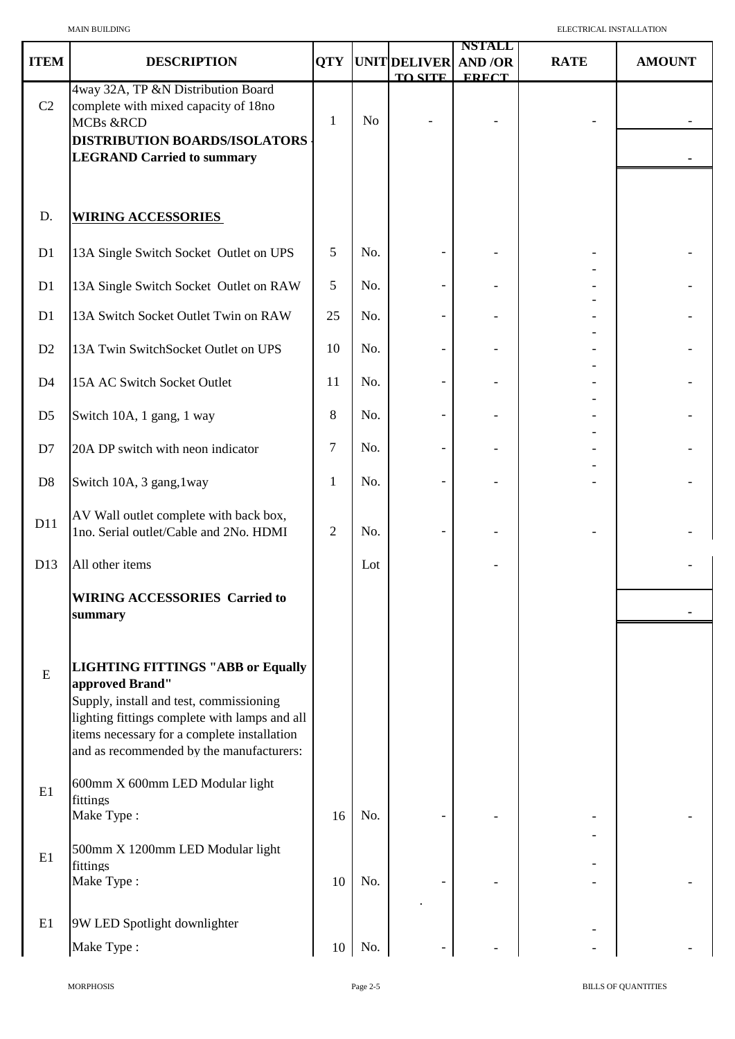|                |                                                                                                                                                                                                                                                    |                |                |                | <b>NSTALL</b> |             |               |
|----------------|----------------------------------------------------------------------------------------------------------------------------------------------------------------------------------------------------------------------------------------------------|----------------|----------------|----------------|---------------|-------------|---------------|
| <b>ITEM</b>    | <b>DESCRIPTION</b>                                                                                                                                                                                                                                 | <b>QTY</b>     |                | UNIT DELIVER   | <b>AND/OR</b> | <b>RATE</b> | <b>AMOUNT</b> |
| C2             | 4way 32A, TP &N Distribution Board<br>complete with mixed capacity of 18no<br><b>MCBs &amp;RCD</b><br><b>DISTRIBUTION BOARDS/ISOLATORS</b><br><b>LEGRAND Carried to summary</b>                                                                    | 1              | N <sub>o</sub> | <b>TO SITE</b> | <b>FRECT</b>  |             |               |
| D.             | <b>WIRING ACCESSORIES</b>                                                                                                                                                                                                                          |                |                |                |               |             |               |
| D1             | 13A Single Switch Socket Outlet on UPS                                                                                                                                                                                                             | 5              | No.            |                |               |             |               |
| D1             | 13A Single Switch Socket Outlet on RAW                                                                                                                                                                                                             | 5              | No.            |                |               |             |               |
| D1             | 13A Switch Socket Outlet Twin on RAW                                                                                                                                                                                                               | 25             | No.            |                |               |             |               |
| D <sub>2</sub> | 13A Twin SwitchSocket Outlet on UPS                                                                                                                                                                                                                | 10             | No.            |                |               |             |               |
| D <sub>4</sub> | 15A AC Switch Socket Outlet                                                                                                                                                                                                                        | 11             | No.            |                |               |             |               |
| D <sub>5</sub> | Switch 10A, 1 gang, 1 way                                                                                                                                                                                                                          | 8              | No.            |                |               |             |               |
| D7             | 20A DP switch with neon indicator                                                                                                                                                                                                                  | $\overline{7}$ | No.            |                |               |             |               |
| D <sub>8</sub> | Switch 10A, 3 gang, 1way                                                                                                                                                                                                                           | 1              | No.            |                |               |             |               |
| D11            | AV Wall outlet complete with back box,<br>1no. Serial outlet/Cable and 2No. HDMI                                                                                                                                                                   | $\overline{2}$ | No.            |                |               |             |               |
| D13            | All other items                                                                                                                                                                                                                                    |                | Lot            |                |               |             |               |
|                | <b>WIRING ACCESSORIES Carried to</b><br>summary                                                                                                                                                                                                    |                |                |                |               |             |               |
| ${\bf E}$      | <b>LIGHTING FITTINGS "ABB or Equally</b><br>approved Brand"<br>Supply, install and test, commissioning<br>lighting fittings complete with lamps and all<br>items necessary for a complete installation<br>and as recommended by the manufacturers: |                |                |                |               |             |               |
| E1             | 600mm X 600mm LED Modular light<br>fittings<br>Make Type:                                                                                                                                                                                          | 16             | No.            |                |               |             |               |
| E1             | 500mm X 1200mm LED Modular light<br>fittings<br>Make Type:                                                                                                                                                                                         | 10             | No.            |                |               |             |               |
| E1             | 9W LED Spotlight downlighter<br>Make Type:                                                                                                                                                                                                         | 10             | No.            |                |               |             |               |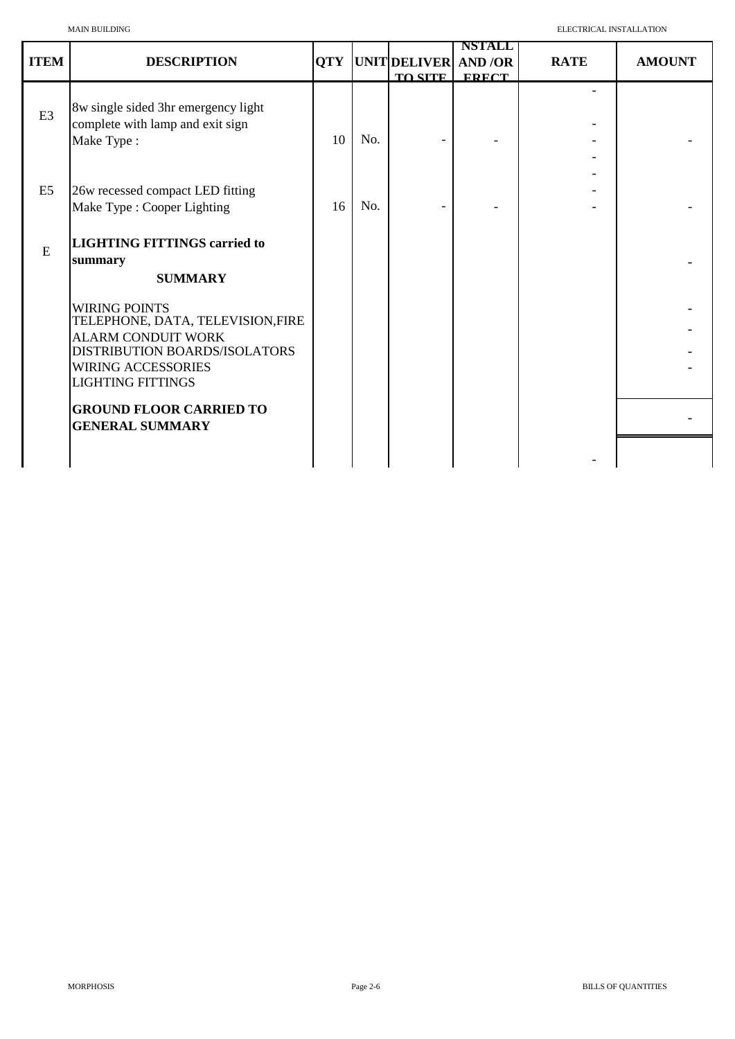|                | <b>MAIN BUILDING</b>                                                                                                                                                            |            | ELECTRICAL INSTALLATION |                                        |                               |             |               |
|----------------|---------------------------------------------------------------------------------------------------------------------------------------------------------------------------------|------------|-------------------------|----------------------------------------|-------------------------------|-------------|---------------|
| <b>ITEM</b>    | <b>DESCRIPTION</b>                                                                                                                                                              | <b>QTY</b> |                         | UNIT DELIVER AND /OR<br><b>TO SITE</b> | <b>NSTALL</b><br><b>FRECT</b> | <b>RATE</b> | <b>AMOUNT</b> |
| E <sub>3</sub> | 8w single sided 3hr emergency light<br>complete with lamp and exit sign<br>Make Type:                                                                                           | 10         | No.                     |                                        |                               |             |               |
| E <sub>5</sub> | 26w recessed compact LED fitting<br>Make Type : Cooper Lighting                                                                                                                 | 16         | No.                     |                                        |                               |             |               |
| E              | <b>LIGHTING FITTINGS carried to</b><br>summary<br><b>SUMMARY</b>                                                                                                                |            |                         |                                        |                               |             |               |
|                | <b>WIRING POINTS</b><br>TELEPHONE, DATA, TELEVISION,FIRE<br><b>ALARM CONDUIT WORK</b><br>DISTRIBUTION BOARDS/ISOLATORS<br><b>WIRING ACCESSORIES</b><br><b>LIGHTING FITTINGS</b> |            |                         |                                        |                               |             |               |
|                | <b>GROUND FLOOR CARRIED TO</b><br><b>GENERAL SUMMARY</b>                                                                                                                        |            |                         |                                        |                               |             |               |
|                |                                                                                                                                                                                 |            |                         |                                        |                               |             |               |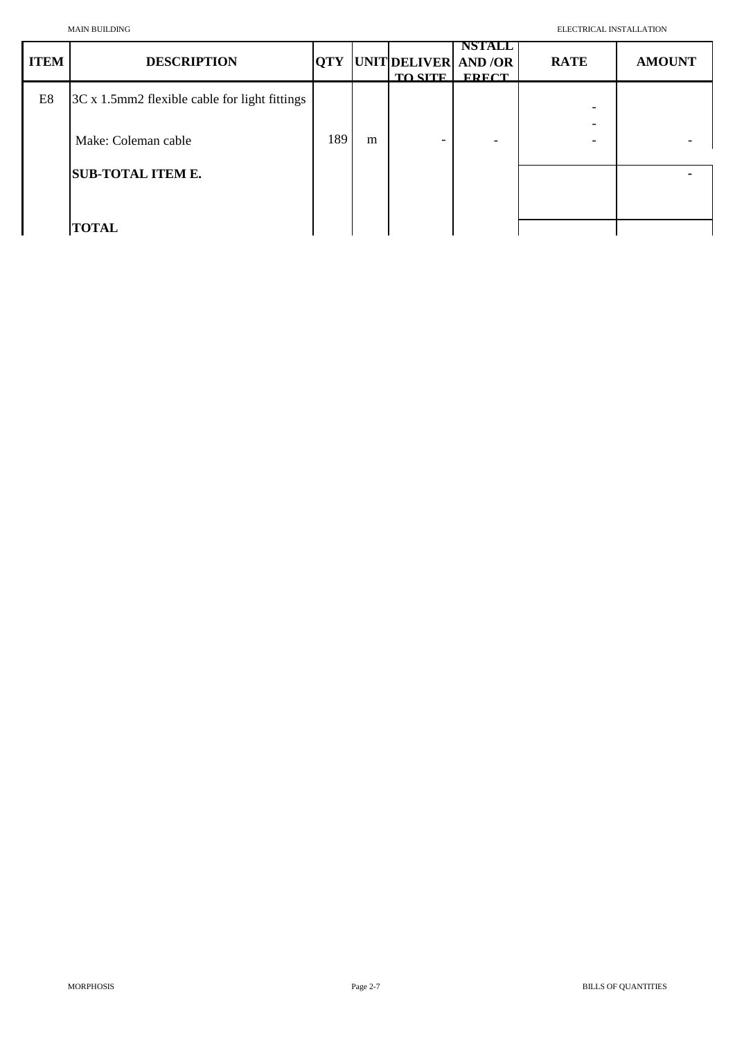| <b>ITEM</b> | <b>DESCRIPTION</b>                            | <b>QTY</b> |   | UNIT DELIVER AND /OR<br><b>TO SITE</b> | <b>NSTALL</b><br><b>FRECT</b> | <b>RATE</b> | <b>AMOUNT</b> |
|-------------|-----------------------------------------------|------------|---|----------------------------------------|-------------------------------|-------------|---------------|
| E8          | 3C x 1.5mm2 flexible cable for light fittings |            |   |                                        |                               | -           |               |
|             | Make: Coleman cable                           | 189        | m |                                        |                               |             |               |
|             | <b>SUB-TOTAL ITEM E.</b>                      |            |   |                                        |                               |             |               |
|             | <b>TOTAL</b>                                  |            |   |                                        |                               |             |               |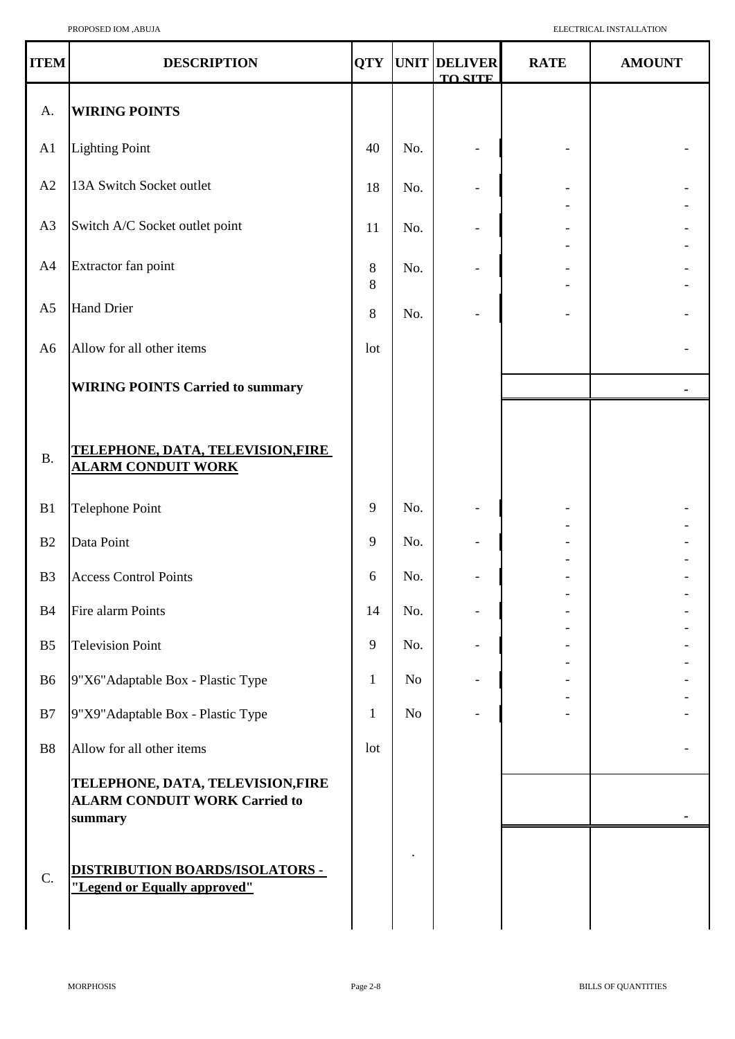| <b>ITEM</b>    | <b>DESCRIPTION</b>                                                                  | <b>QTY</b>      |     | UNIT DELIVER<br><b>TO SITE</b> | <b>RATE</b> | <b>AMOUNT</b> |
|----------------|-------------------------------------------------------------------------------------|-----------------|-----|--------------------------------|-------------|---------------|
| A.             | <b>WIRING POINTS</b>                                                                |                 |     |                                |             |               |
| A <sub>1</sub> | <b>Lighting Point</b>                                                               | 40              | No. |                                |             |               |
| A2             | 13A Switch Socket outlet                                                            | 18              | No. |                                |             |               |
| A3             | Switch A/C Socket outlet point                                                      | 11              | No. |                                |             |               |
| A <sub>4</sub> | Extractor fan point                                                                 | 8<br>8          | No. |                                |             |               |
| A <sub>5</sub> | <b>Hand Drier</b>                                                                   | 8               | No. |                                |             |               |
| A <sub>6</sub> | Allow for all other items                                                           | 1 <sub>ot</sub> |     |                                |             |               |
|                | <b>WIRING POINTS Carried to summary</b>                                             |                 |     |                                |             | ٠             |
| <b>B.</b>      | <u>TELEPHONE, DATA, TELEVISION,FIRE</u><br><u>ALARM CONDUIT WORK</u>                |                 |     |                                |             |               |
| B1             | <b>Telephone Point</b>                                                              | 9               | No. |                                |             |               |
| B <sub>2</sub> | Data Point                                                                          | 9               | No. |                                |             |               |
| B <sub>3</sub> | <b>Access Control Points</b>                                                        | 6               | No. |                                | ٠           |               |
| <b>B4</b>      | Fire alarm Points                                                                   | 14              | No. |                                |             |               |
| B <sub>5</sub> | <b>Television Point</b>                                                             | 9               | No. |                                |             |               |
| B <sub>6</sub> | 9"X6" Adaptable Box - Plastic Type                                                  | $\mathbf{1}$    | No  |                                |             |               |
| B7             | 9"X9" Adaptable Box - Plastic Type                                                  | $\mathbf{1}$    | No  |                                |             |               |
| <b>B8</b>      | Allow for all other items                                                           | 1 <sub>ot</sub> |     |                                |             |               |
|                | TELEPHONE, DATA, TELEVISION,FIRE<br><b>ALARM CONDUIT WORK Carried to</b><br>summary |                 |     |                                |             |               |
| C.             | <u>DISTRIBUTION BOARDS/ISOLATORS -</u><br>"Legend or Equally approved"              |                 |     |                                |             |               |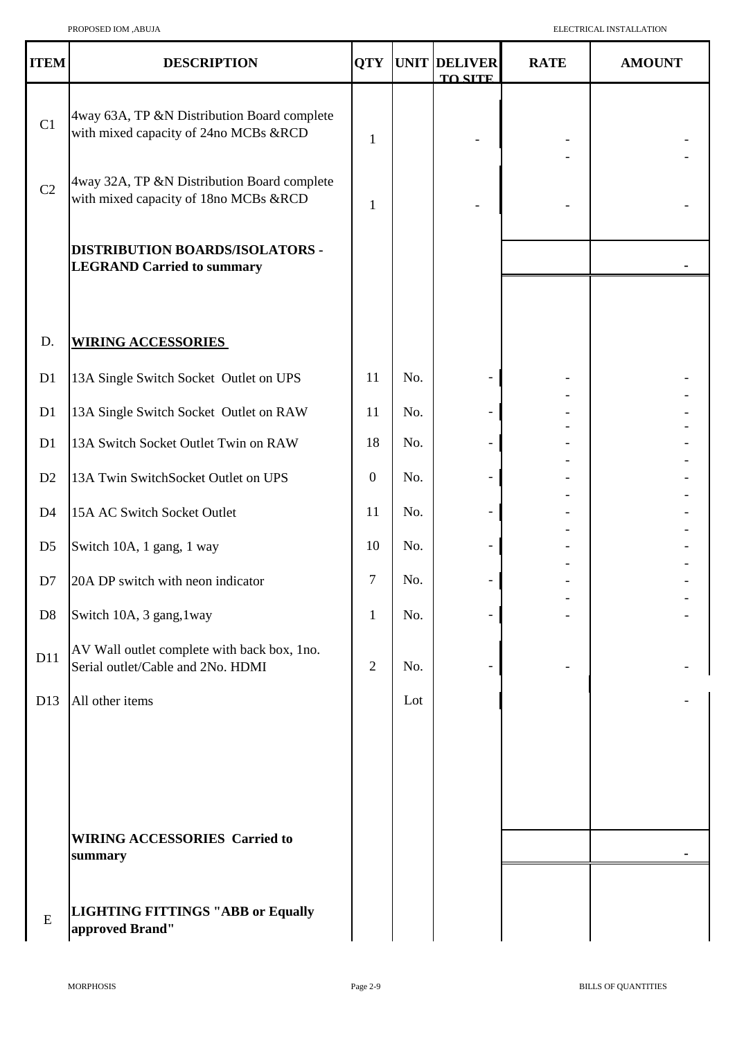| <b>ITEM</b>     | <b>DESCRIPTION</b>                                                                   |                  |     | <b>QTY UNIT DELIVER</b><br><b>TO SITE</b> | <b>RATE</b> | <b>AMOUNT</b> |
|-----------------|--------------------------------------------------------------------------------------|------------------|-----|-------------------------------------------|-------------|---------------|
| C1              | 4way 63A, TP &N Distribution Board complete<br>with mixed capacity of 24no MCBs &RCD | $\mathbf{1}$     |     |                                           |             |               |
| C2              | 4way 32A, TP &N Distribution Board complete<br>with mixed capacity of 18no MCBs &RCD | 1                |     |                                           |             |               |
|                 | DISTRIBUTION BOARDS/ISOLATORS -<br><b>LEGRAND Carried to summary</b>                 |                  |     |                                           |             |               |
|                 |                                                                                      |                  |     |                                           |             |               |
| D.              | <b>WIRING ACCESSORIES</b>                                                            |                  |     |                                           |             |               |
| D1              | 13A Single Switch Socket Outlet on UPS                                               | 11               | No. |                                           |             |               |
| D1              | 13A Single Switch Socket Outlet on RAW                                               | 11               | No. |                                           |             |               |
| D1              | 13A Switch Socket Outlet Twin on RAW                                                 | 18               | No. |                                           |             |               |
| D2              | 13A Twin SwitchSocket Outlet on UPS                                                  | $\overline{0}$   | No. |                                           |             |               |
| D <sub>4</sub>  | 15A AC Switch Socket Outlet                                                          | 11               | No. |                                           |             |               |
| D <sub>5</sub>  | Switch 10A, 1 gang, 1 way                                                            | 10               | No. |                                           |             |               |
| D7              | 20A DP switch with neon indicator                                                    | $\boldsymbol{7}$ | No. |                                           |             |               |
| D <sub>8</sub>  | Switch 10A, 3 gang, 1way                                                             | $\mathbf{1}$     | No. |                                           |             |               |
| D11             | AV Wall outlet complete with back box, 1no.<br>Serial outlet/Cable and 2No. HDMI     | $\overline{2}$   | No. |                                           |             |               |
| D <sub>13</sub> | All other items                                                                      |                  | Lot |                                           |             |               |
|                 |                                                                                      |                  |     |                                           |             |               |
|                 |                                                                                      |                  |     |                                           |             |               |
|                 | <b>WIRING ACCESSORIES Carried to</b><br>summary                                      |                  |     |                                           |             |               |
| ${\bf E}$       | <b>LIGHTING FITTINGS "ABB or Equally</b><br>approved Brand"                          |                  |     |                                           |             |               |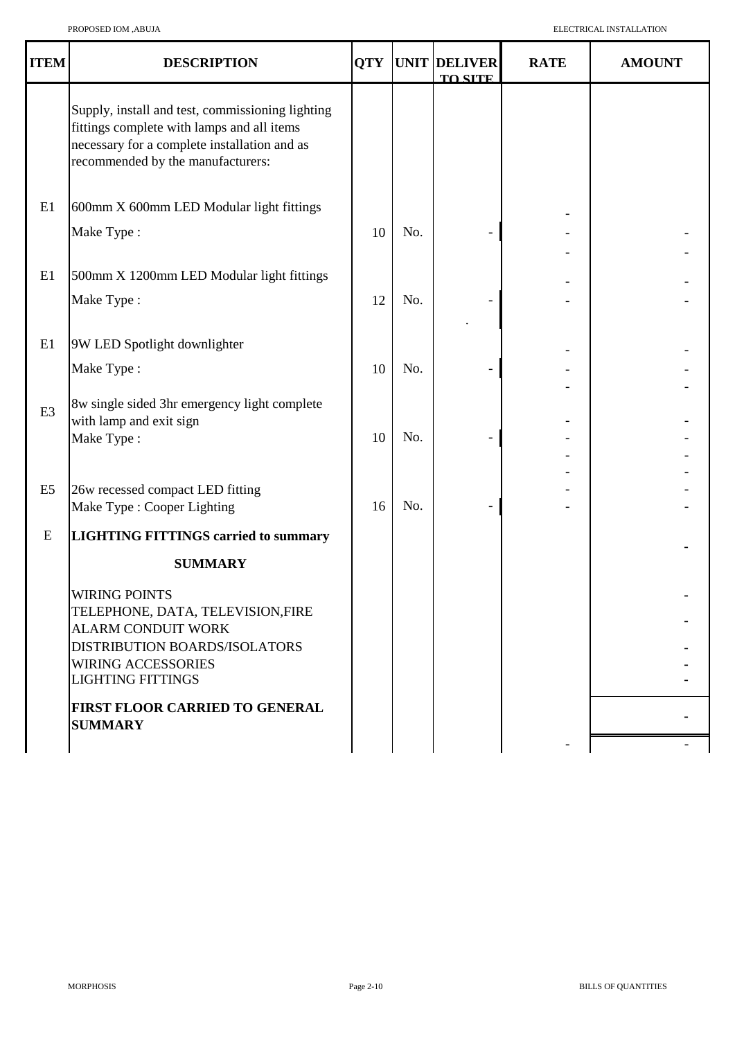| <b>ITEM</b>    | <b>DESCRIPTION</b>                                                                                                                                                                  | <b>QTY</b> |     | UNIT DELIVER<br><b>TO SITE</b> | <b>RATE</b> | <b>AMOUNT</b> |
|----------------|-------------------------------------------------------------------------------------------------------------------------------------------------------------------------------------|------------|-----|--------------------------------|-------------|---------------|
|                | Supply, install and test, commissioning lighting<br>fittings complete with lamps and all items<br>necessary for a complete installation and as<br>recommended by the manufacturers: |            |     |                                |             |               |
| E1             | 600mm X 600mm LED Modular light fittings                                                                                                                                            |            |     |                                |             |               |
|                | Make Type:                                                                                                                                                                          | 10         | No. |                                |             |               |
| E1             | 500mm X 1200mm LED Modular light fittings                                                                                                                                           |            |     |                                |             |               |
|                | Make Type:                                                                                                                                                                          | 12         | No. |                                |             |               |
| E1             | 9W LED Spotlight downlighter                                                                                                                                                        |            |     |                                |             |               |
|                | Make Type:                                                                                                                                                                          | 10         | No. |                                |             |               |
| E <sub>3</sub> | 8w single sided 3hr emergency light complete<br>with lamp and exit sign<br>Make Type:                                                                                               | 10         | No. |                                |             |               |
| E <sub>5</sub> | 26w recessed compact LED fitting<br>Make Type : Cooper Lighting                                                                                                                     | 16         | No. |                                |             |               |
| E              | <b>LIGHTING FITTINGS carried to summary</b>                                                                                                                                         |            |     |                                |             |               |
|                | <b>SUMMARY</b>                                                                                                                                                                      |            |     |                                |             |               |
|                | <b>WIRING POINTS</b><br>TELEPHONE, DATA, TELEVISION,FIRE<br><b>ALARM CONDUIT WORK</b><br>DISTRIBUTION BOARDS/ISOLATORS<br><b>WIRING ACCESSORIES</b><br><b>LIGHTING FITTINGS</b>     |            |     |                                |             |               |
|                | FIRST FLOOR CARRIED TO GENERAL<br><b>SUMMARY</b>                                                                                                                                    |            |     |                                |             |               |
|                |                                                                                                                                                                                     |            |     |                                |             |               |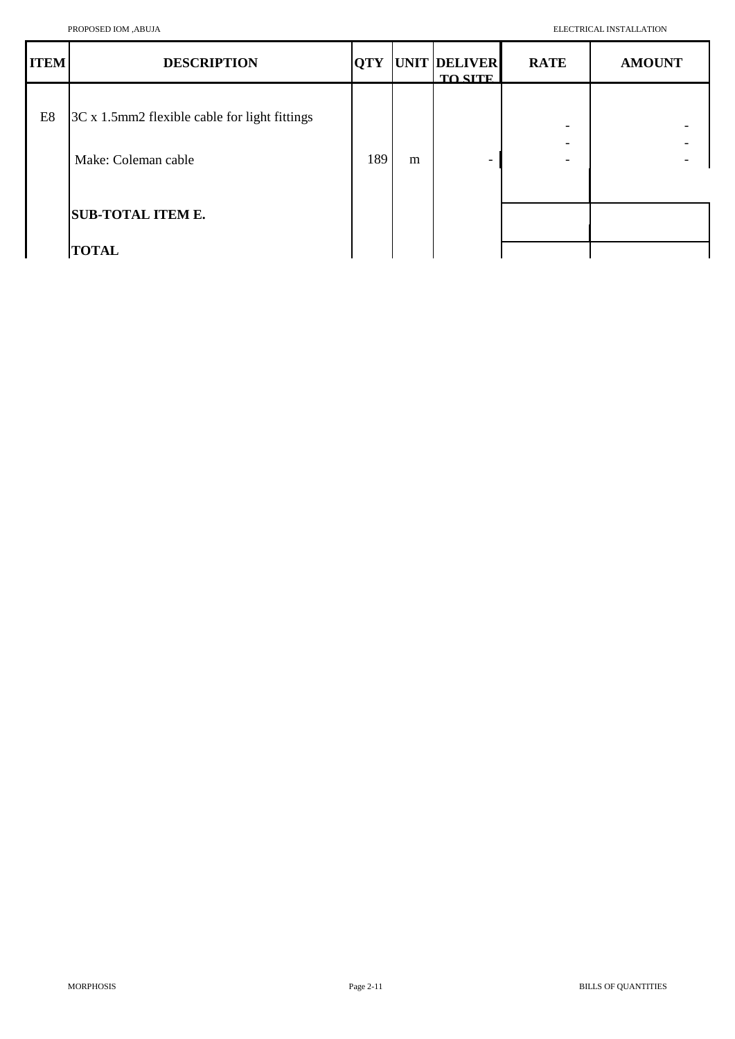| <b>ITEM</b>    | <b>DESCRIPTION</b>                            |     |   | <b>QTY UNIT DELIVER</b><br><b>TO SITE</b> | <b>RATE</b>                   | <b>AMOUNT</b> |
|----------------|-----------------------------------------------|-----|---|-------------------------------------------|-------------------------------|---------------|
| E <sub>8</sub> | 3C x 1.5mm2 flexible cable for light fittings |     |   |                                           |                               |               |
|                | Make: Coleman cable                           | 189 | m | -                                         | -<br>$\overline{\phantom{0}}$ |               |
|                | <b>SUB-TOTAL ITEM E.</b>                      |     |   |                                           |                               |               |
|                | <b>TOTAL</b>                                  |     |   |                                           |                               |               |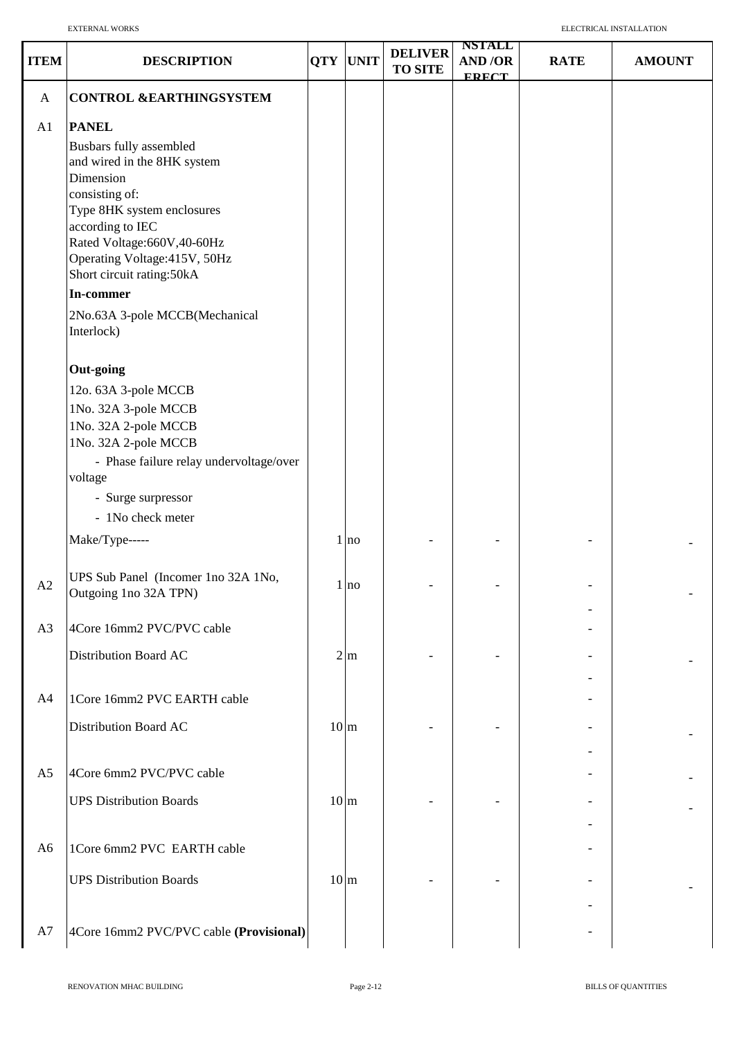| <b>ITEM</b>    | <b>DESCRIPTION</b>                                                                                                                                                                                                                                                                                                 | <b>QTY</b>      | <b>UNIT</b>       | <b>DELIVER</b><br><b>TO SITE</b> | <b>NSTALL</b><br>AND/OR<br><b>FRECT</b> | <b>RATE</b> | <b>AMOUNT</b> |
|----------------|--------------------------------------------------------------------------------------------------------------------------------------------------------------------------------------------------------------------------------------------------------------------------------------------------------------------|-----------------|-------------------|----------------------------------|-----------------------------------------|-------------|---------------|
| $\mathbf{A}$   | <b>CONTROL &amp;EARTHINGSYSTEM</b>                                                                                                                                                                                                                                                                                 |                 |                   |                                  |                                         |             |               |
| A1             | <b>PANEL</b><br>Busbars fully assembled<br>and wired in the 8HK system<br>Dimension<br>consisting of:<br>Type 8HK system enclosures<br>according to IEC<br>Rated Voltage: 660V, 40-60Hz<br>Operating Voltage: 415V, 50Hz<br>Short circuit rating:50kA<br>In-commer<br>2No.63A 3-pole MCCB(Mechanical<br>Interlock) |                 |                   |                                  |                                         |             |               |
|                | <b>Out-going</b><br>12o. 63A 3-pole MCCB<br>1No. 32A 3-pole MCCB<br>1No. 32A 2-pole MCCB<br>1No. 32A 2-pole MCCB<br>- Phase failure relay undervoltage/over<br>voltage<br>- Surge surpressor<br>- 1No check meter<br>Make/Type-----                                                                                |                 | 1 no              |                                  |                                         |             |               |
| A2             | UPS Sub Panel (Incomer 1no 32A 1No,<br>Outgoing 1no 32A TPN)                                                                                                                                                                                                                                                       | $\mathbf{1}$    | no                |                                  |                                         |             |               |
| A3             | 4Core 16mm2 PVC/PVC cable<br>Distribution Board AC                                                                                                                                                                                                                                                                 |                 | $2 \, \mathrm{m}$ |                                  |                                         |             |               |
| A4             | 1Core 16mm2 PVC EARTH cable<br>Distribution Board AC                                                                                                                                                                                                                                                               | 10 <sub>m</sub> |                   |                                  |                                         |             |               |
| A <sub>5</sub> | 4Core 6mm2 PVC/PVC cable<br><b>UPS Distribution Boards</b>                                                                                                                                                                                                                                                         | 10 <sub>m</sub> |                   |                                  |                                         |             |               |
| A <sub>6</sub> | 1Core 6mm2 PVC EARTH cable<br><b>UPS Distribution Boards</b>                                                                                                                                                                                                                                                       | $10 \text{ m}$  |                   |                                  |                                         |             |               |
| A7             | 4Core 16mm2 PVC/PVC cable (Provisional)                                                                                                                                                                                                                                                                            |                 |                   |                                  |                                         |             |               |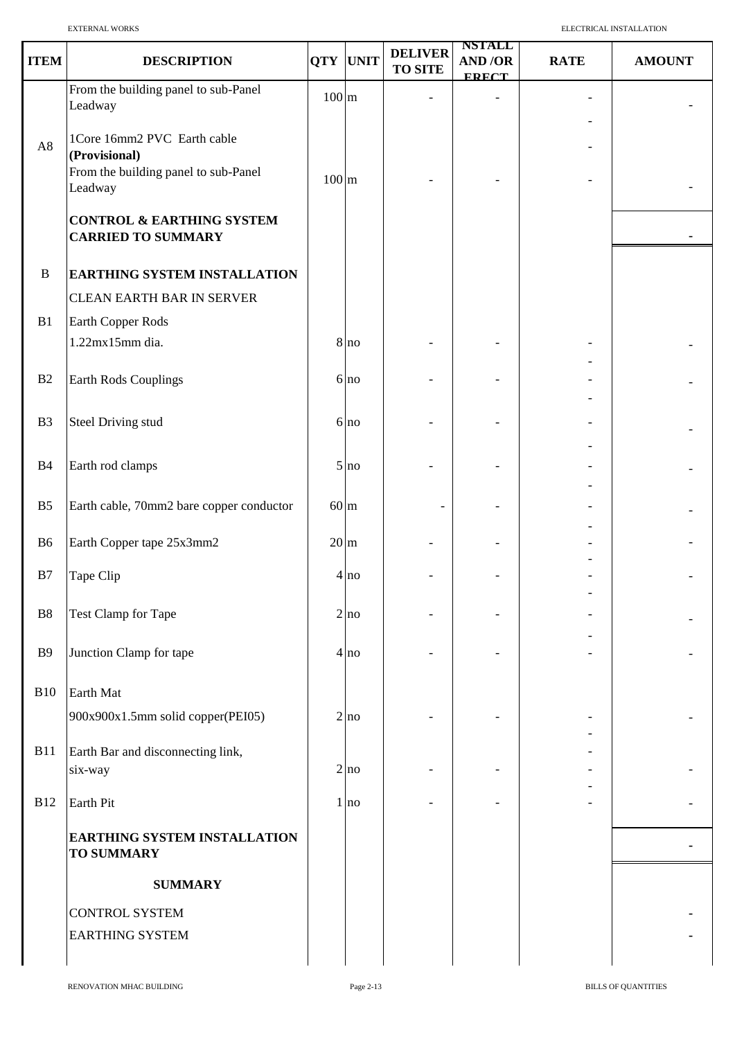| <b>ITEM</b>    | <b>DESCRIPTION</b>                                                | <b>QTY</b>      | <b>UNIT</b>     | <b>DELIVER</b><br><b>TO SITE</b> | <b>NSTALL</b><br>AND/OR<br><b>FRECT</b> | <b>RATE</b>              | <b>AMOUNT</b> |
|----------------|-------------------------------------------------------------------|-----------------|-----------------|----------------------------------|-----------------------------------------|--------------------------|---------------|
|                | From the building panel to sub-Panel<br>Leadway                   | $100 \text{ m}$ |                 |                                  |                                         |                          |               |
|                | 1Core 16mm2 PVC Earth cable                                       |                 |                 |                                  |                                         |                          |               |
| $\rm A8$       | (Provisional)                                                     |                 |                 |                                  |                                         |                          |               |
|                | From the building panel to sub-Panel<br>Leadway                   | $100 \text{ m}$ |                 |                                  |                                         |                          |               |
|                | <b>CONTROL &amp; EARTHING SYSTEM</b><br><b>CARRIED TO SUMMARY</b> |                 |                 |                                  |                                         |                          |               |
| $\, {\bf B}$   | <b>EARTHING SYSTEM INSTALLATION</b>                               |                 |                 |                                  |                                         |                          |               |
|                | <b>CLEAN EARTH BAR IN SERVER</b>                                  |                 |                 |                                  |                                         |                          |               |
| B1             | Earth Copper Rods                                                 |                 |                 |                                  |                                         |                          |               |
|                | 1.22mx15mm dia.                                                   |                 | 8 <sub>no</sub> |                                  |                                         |                          |               |
|                |                                                                   |                 |                 |                                  |                                         |                          |               |
| B2             | Earth Rods Couplings                                              |                 | 6 no            |                                  |                                         |                          |               |
| B <sub>3</sub> | <b>Steel Driving stud</b>                                         |                 | 6 <sub>no</sub> |                                  |                                         |                          |               |
|                |                                                                   |                 |                 |                                  |                                         |                          |               |
| B4             | Earth rod clamps                                                  |                 | 5 <sub>no</sub> |                                  |                                         |                          |               |
|                |                                                                   |                 |                 |                                  |                                         |                          |               |
| B <sub>5</sub> | Earth cable, 70mm2 bare copper conductor                          | $60 \text{ m}$  |                 |                                  |                                         |                          |               |
|                |                                                                   |                 |                 |                                  |                                         |                          |               |
| <b>B6</b>      | Earth Copper tape 25x3mm2                                         | $20 \text{ m}$  |                 |                                  |                                         |                          |               |
| B7             | Tape Clip                                                         |                 | 4 <sub>no</sub> |                                  |                                         |                          |               |
|                |                                                                   |                 |                 |                                  |                                         | $\overline{\phantom{a}}$ |               |
| B8             | Test Clamp for Tape                                               |                 | 2 no            |                                  |                                         |                          |               |
| <b>B</b> 9     | Junction Clamp for tape                                           |                 | 4 <sub>no</sub> |                                  |                                         |                          |               |
|                |                                                                   |                 |                 |                                  |                                         |                          |               |
| <b>B10</b>     | Earth Mat                                                         |                 |                 |                                  |                                         |                          |               |
|                | 900x900x1.5mm solid copper(PEI05)                                 |                 | 2 no            |                                  |                                         |                          |               |
|                |                                                                   |                 |                 |                                  |                                         |                          |               |
| <b>B11</b>     | Earth Bar and disconnecting link,<br>six-way                      |                 | 2 no            |                                  |                                         |                          |               |
|                |                                                                   |                 |                 |                                  |                                         |                          |               |
| <b>B12</b>     | Earth Pit                                                         |                 | 1 no            |                                  |                                         |                          |               |
|                | EARTHING SYSTEM INSTALLATION<br><b>TO SUMMARY</b>                 |                 |                 |                                  |                                         |                          |               |
|                | <b>SUMMARY</b>                                                    |                 |                 |                                  |                                         |                          |               |
|                | <b>CONTROL SYSTEM</b>                                             |                 |                 |                                  |                                         |                          |               |
|                | <b>EARTHING SYSTEM</b>                                            |                 |                 |                                  |                                         |                          |               |
|                |                                                                   |                 |                 |                                  |                                         |                          |               |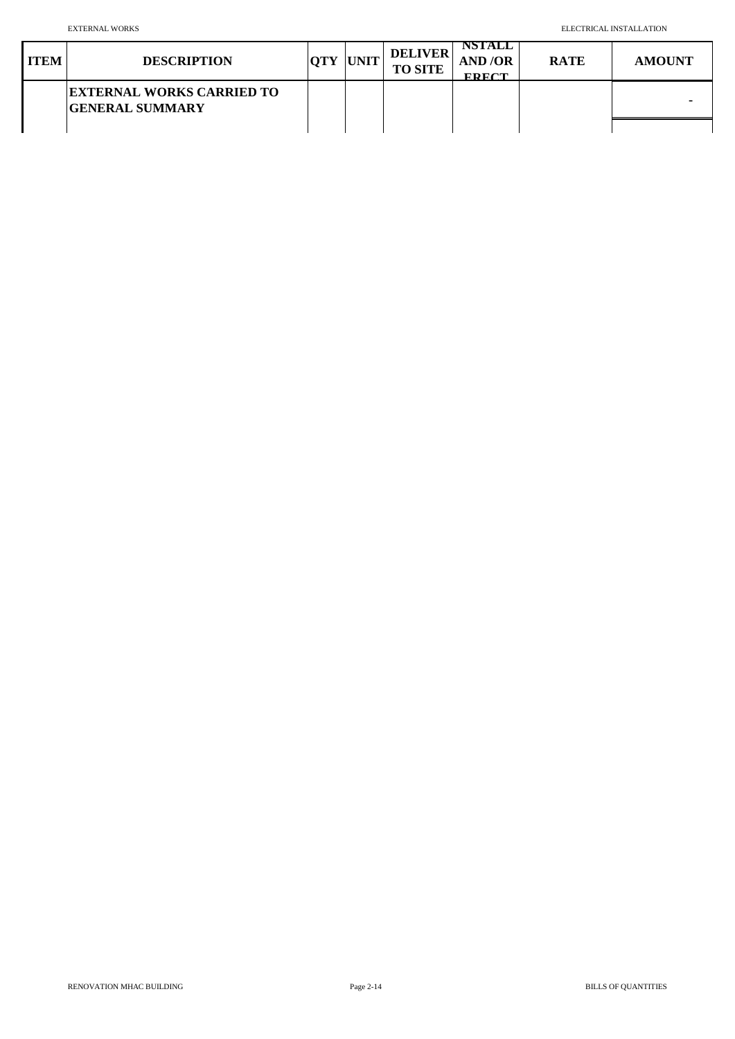| <b>ITEM</b> | <b>DESCRIPTION</b>                                         | <b>OTY</b> | <b>UNIT</b> | <b>DELIVER</b><br><b>TO SITE</b> | NSTALL<br>AND/OR<br>$F\mathbf{P}F\mathbf{C}T$ | <b>RATE</b> | <b>AMOUNT</b>  |
|-------------|------------------------------------------------------------|------------|-------------|----------------------------------|-----------------------------------------------|-------------|----------------|
|             | <b>EXTERNAL WORKS CARRIED TO</b><br><b>GENERAL SUMMARY</b> |            |             |                                  |                                               |             | $\blacksquare$ |
|             |                                                            |            |             |                                  |                                               |             |                |